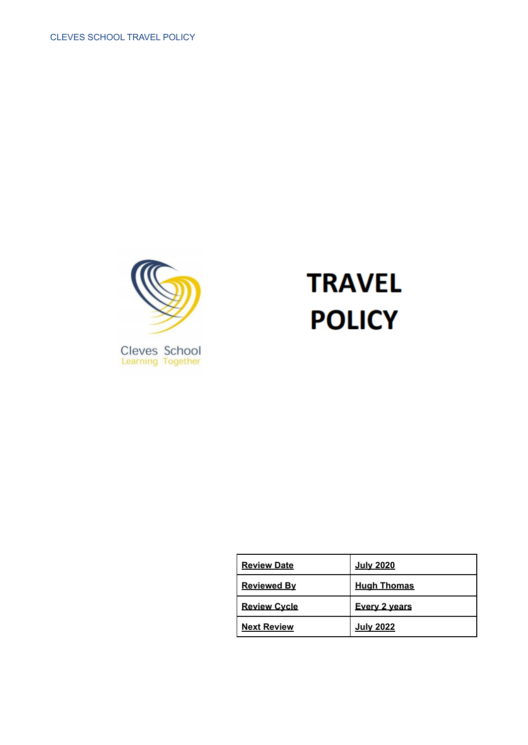

# **TRAVEL POLICY**

| <b>Review Date</b>  | <b>July 2020</b>     |
|---------------------|----------------------|
| <b>Reviewed By</b>  | <b>Hugh Thomas</b>   |
| <b>Review Cycle</b> | <b>Every 2 years</b> |
| <b>Next Review</b>  | <b>July 2022</b>     |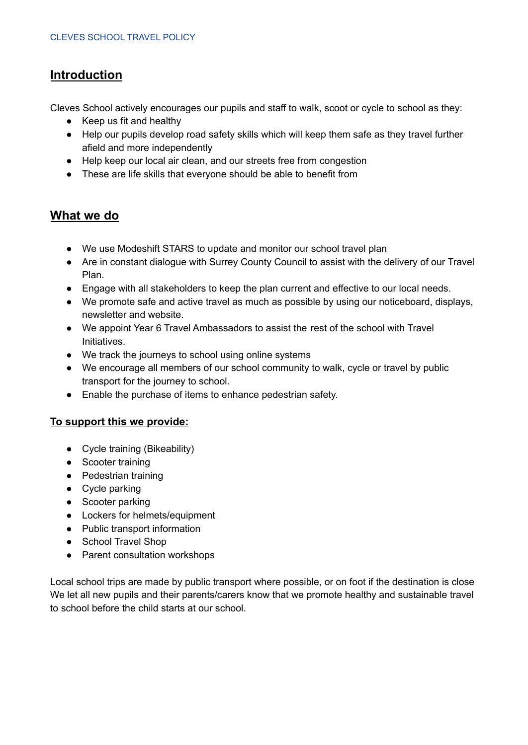## **Introduction**

Cleves School actively encourages our pupils and staff to walk, scoot or cycle to school as they:

- Keep us fit and healthy
- Help our pupils develop road safety skills which will keep them safe as they travel further afield and more independently
- Help keep our local air clean, and our streets free from congestion
- These are life skills that everyone should be able to benefit from

## **What we do**

- We use Modeshift STARS to update and monitor our school travel plan
- Are in constant dialogue with Surrey County Council to assist with the delivery of our Travel Plan.
- Engage with all stakeholders to keep the plan current and effective to our local needs.
- We promote safe and active travel as much as possible by using our noticeboard, displays, newsletter and website.
- We appoint Year 6 Travel Ambassadors to assist the rest of the school with Travel Initiatives.
- We track the journeys to school using online systems
- We encourage all members of our school community to walk, cycle or travel by public transport for the journey to school.
- Enable the purchase of items to enhance pedestrian safety.

#### **To support this we provide:**

- Cycle training (Bikeability)
- Scooter training
- Pedestrian training
- Cycle parking
- Scooter parking
- Lockers for helmets/equipment
- Public transport information
- School Travel Shop
- Parent consultation workshops

Local school trips are made by public transport where possible, or on foot if the destination is close We let all new pupils and their parents/carers know that we promote healthy and sustainable travel to school before the child starts at our school.